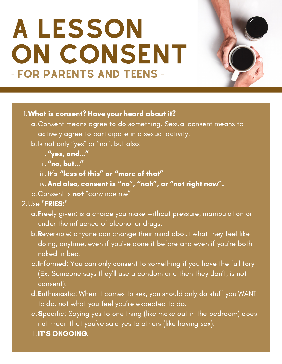# A LESSON ON CONSENT - FOR PARENTS AND TEENS -



# What is consent? Have your heard about it? 1.

- Consent means agree to do something. Sexual consent means to a. actively agree to participate in a sexual activity.
- b.Is not only "yes" or "no", but also:
	- i. <mark>"yes, and…"</mark>
	- ii. **"no, but…"**
	- iii. It's "less of this" or "more of that"
	- iv. And also, consent is "no", "nah", or "not right now".
- c.Consent is **not** "convince me"

# 2.Use "FRIES:"

- a. Freely given: is a choice you make without pressure, manipulation or under the influence of alcohol or drugs.
- b. Reversible: anyone can change their mind about what they feel like doing, anytime, even if you've done it before and even if you're both naked in bed.
- c.Informed: You can only consent to something if you have the full tory (Ex. Someone says they'll use a condom and then they don't, is not consent).
- d. Enthusiastic: When it comes to sex, you should only do stuff you WANT to do, not what you feel you're expected to do.
- e. Specific: Saying yes to one thing (like make out in the bedroom) does not mean that you've said yes to others (like having sex).
- f. IT'S ONGOING.